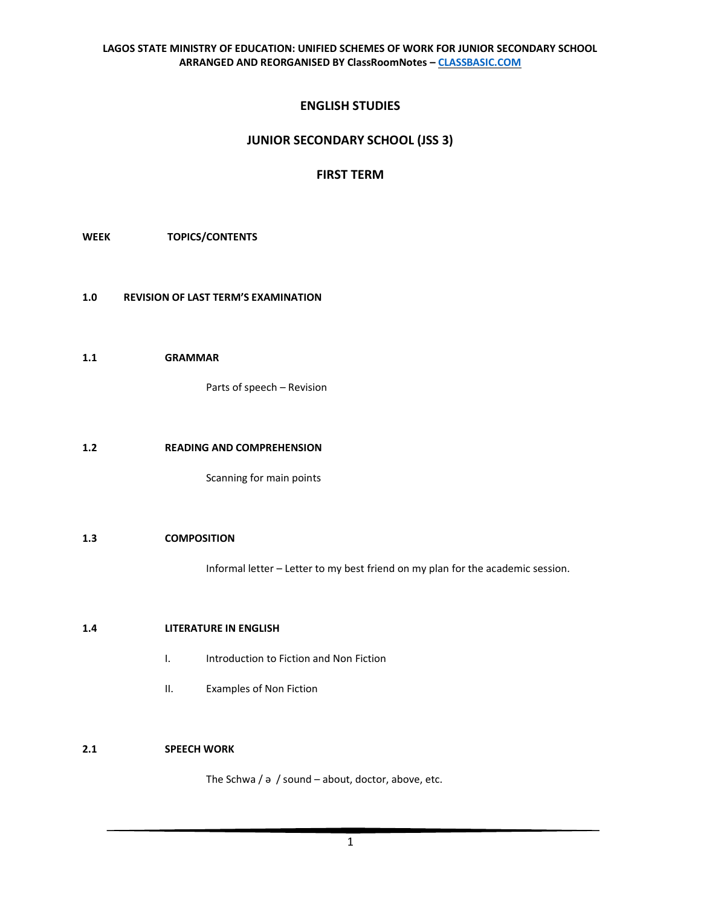# **ENGLISH STUDIES**

# **JUNIOR SECONDARY SCHOOL (JSS 3)**

# **FIRST TERM**

**WEEK TOPICS/CONTENTS**

- **1.0 REVISION OF LAST TERM'S EXAMINATION**
- **1.1 GRAMMAR**

Parts of speech – Revision

#### **1.2 READING AND COMPREHENSION**

Scanning for main points

## **1.3 COMPOSITION**

Informal letter – Letter to my best friend on my plan for the academic session.

## **1.4 LITERATURE IN ENGLISH**

- I. Introduction to Fiction and Non Fiction
- II. Examples of Non Fiction

# **2.1 SPEECH WORK**

The Schwa / ə / sound – about, doctor, above, etc.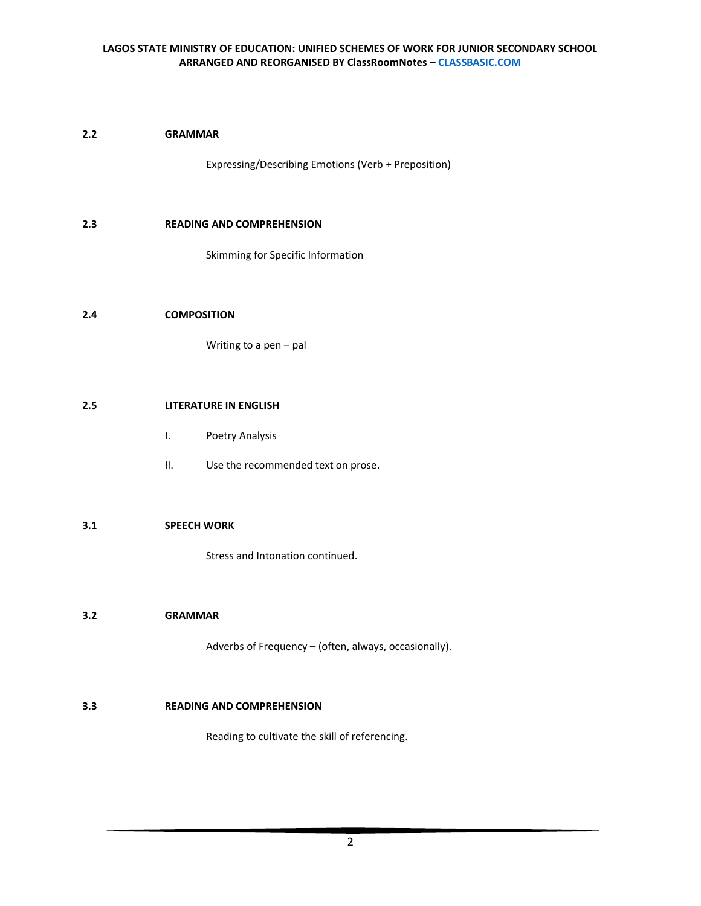# **2.2 GRAMMAR**

Expressing/Describing Emotions (Verb + Preposition)

#### **2.3 READING AND COMPREHENSION**

Skimming for Specific Information

## **2.4 COMPOSITION**

Writing to a pen – pal

#### **2.5 LITERATURE IN ENGLISH**

- I. Poetry Analysis
- II. Use the recommended text on prose.

#### **3.1 SPEECH WORK**

Stress and Intonation continued.

#### **3.2 GRAMMAR**

Adverbs of Frequency – (often, always, occasionally).

## **3.3 READING AND COMPREHENSION**

Reading to cultivate the skill of referencing.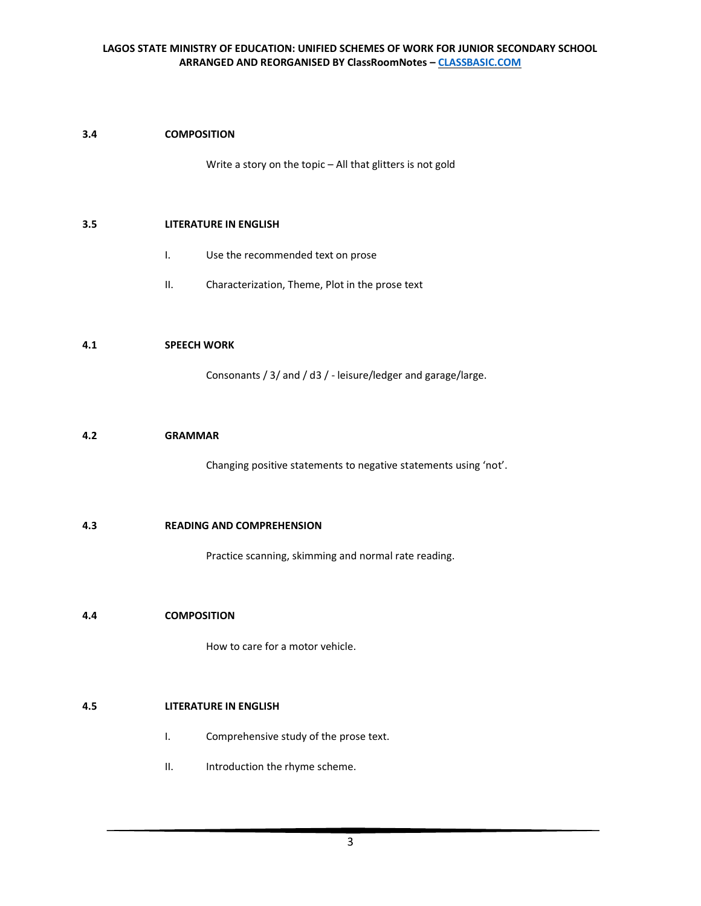## **3.4 COMPOSITION**

Write a story on the topic – All that glitters is not gold

#### **3.5 LITERATURE IN ENGLISH**

- I. Use the recommended text on prose
- II. Characterization, Theme, Plot in the prose text

#### **4.1 SPEECH WORK**

Consonants / 3/ and / d3 / - leisure/ledger and garage/large.

#### **4.2 GRAMMAR**

Changing positive statements to negative statements using 'not'.

#### **4.3 READING AND COMPREHENSION**

Practice scanning, skimming and normal rate reading.

#### **4.4 COMPOSITION**

How to care for a motor vehicle.

#### **4.5 LITERATURE IN ENGLISH**

- I. Comprehensive study of the prose text.
- II. Introduction the rhyme scheme.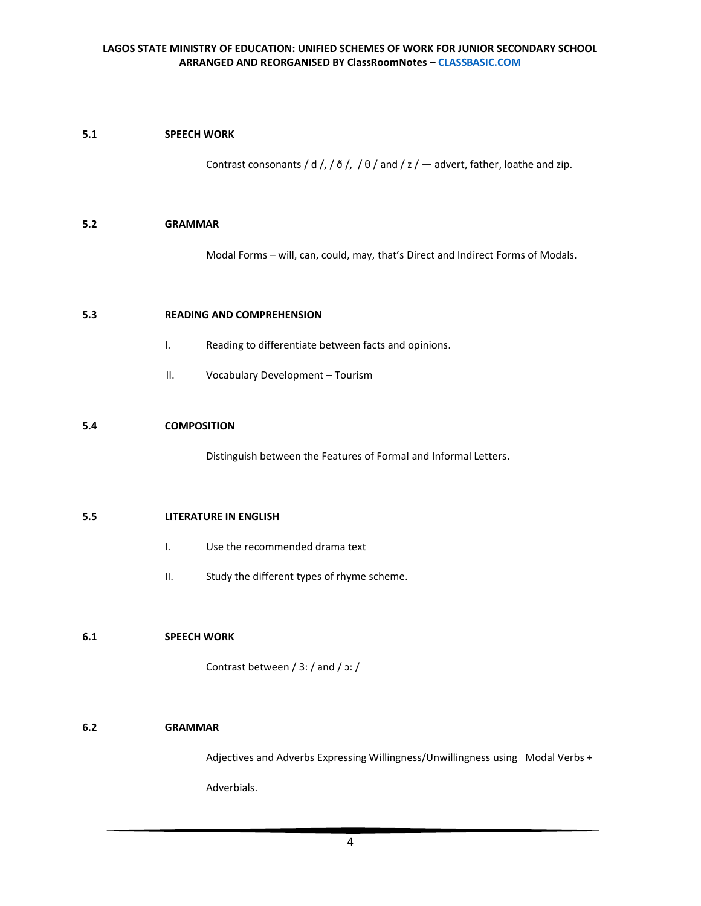## **5.1 SPEECH WORK**

Contrast consonants / d /, / ð /, /  $\theta$  / and / z /  $-$  advert, father, loathe and zip.

#### **5.2 GRAMMAR**

Modal Forms – will, can, could, may, that's Direct and Indirect Forms of Modals.

## **5.3 READING AND COMPREHENSION**

- I. Reading to differentiate between facts and opinions.
- II. Vocabulary Development Tourism

#### **5.4 COMPOSITION**

Distinguish between the Features of Formal and Informal Letters.

#### **5.5 LITERATURE IN ENGLISH**

- I. Use the recommended drama text
- II. Study the different types of rhyme scheme.

## **6.1 SPEECH WORK**

Contrast between / 3: / and / ɔ: /

## **6.2 GRAMMAR**

Adjectives and Adverbs Expressing Willingness/Unwillingness using Modal Verbs +

Adverbials.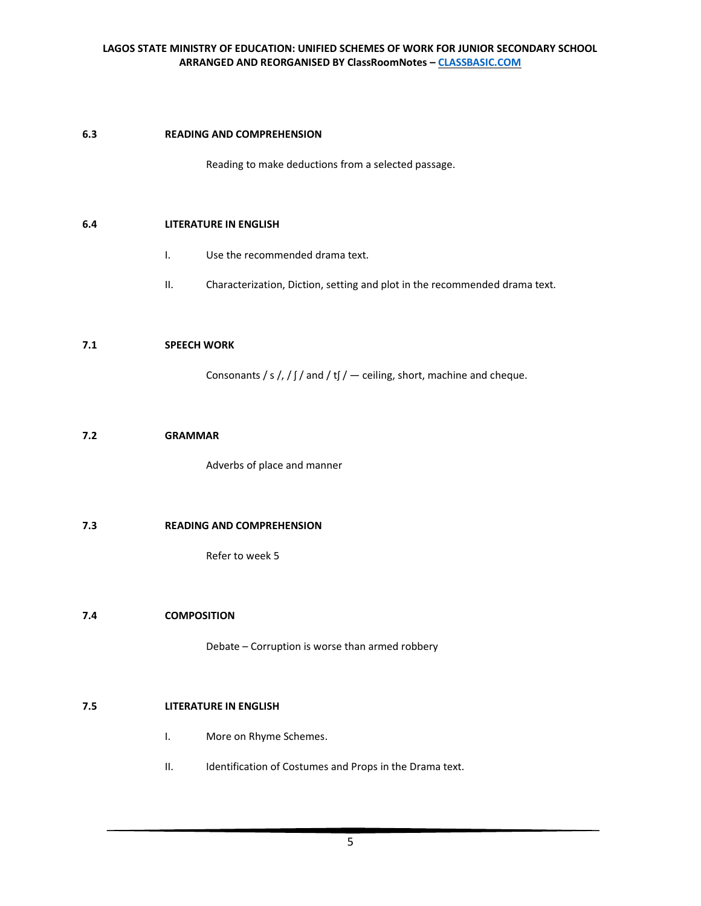## **6.3 READING AND COMPREHENSION**

Reading to make deductions from a selected passage.

#### **6.4 LITERATURE IN ENGLISH**

- I. Use the recommended drama text.
- II. Characterization, Diction, setting and plot in the recommended drama text.

#### **7.1 SPEECH WORK**

Consonants / s /, /  $\int$  / and / t $\int$  /  $-$  ceiling, short, machine and cheque.

#### **7.2 GRAMMAR**

Adverbs of place and manner

## **7.3 READING AND COMPREHENSION**

Refer to week 5

#### **7.4 COMPOSITION**

Debate – Corruption is worse than armed robbery

#### **7.5 LITERATURE IN ENGLISH**

- I. More on Rhyme Schemes.
- II. Identification of Costumes and Props in the Drama text.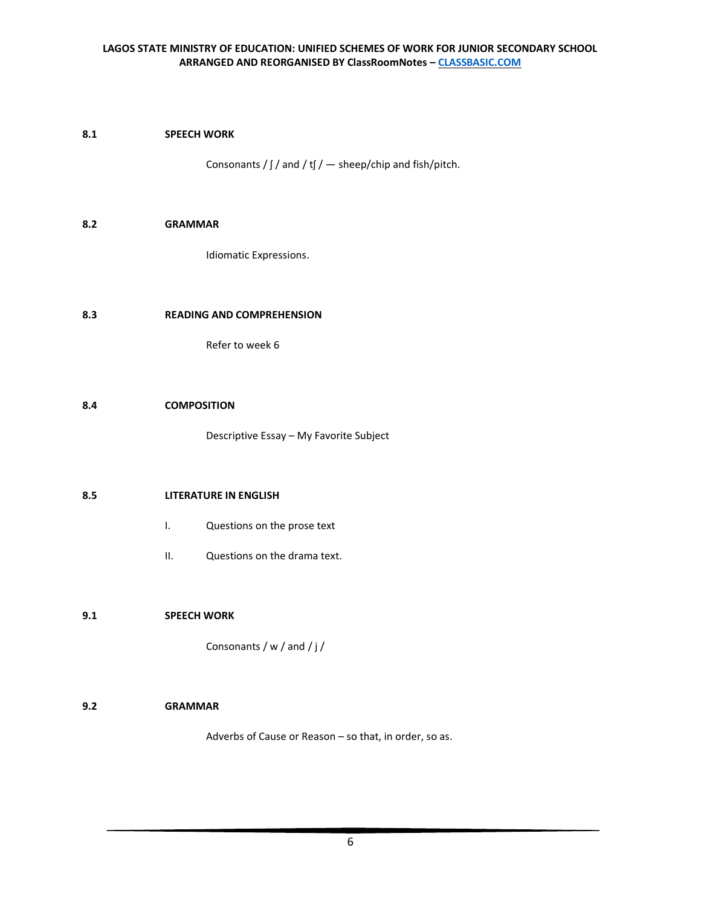#### **8.1 SPEECH WORK**

Consonants /  $\int \int$  and / t $\int$  / — sheep/chip and fish/pitch.

#### **8.2 GRAMMAR**

Idiomatic Expressions.

## **8.3 READING AND COMPREHENSION**

Refer to week 6

#### **8.4 COMPOSITION**

Descriptive Essay – My Favorite Subject

#### **8.5 LITERATURE IN ENGLISH**

- I. Questions on the prose text
- II. Questions on the drama text.

## **9.1 SPEECH WORK**

Consonants / w / and / j /

#### **9.2 GRAMMAR**

Adverbs of Cause or Reason – so that, in order, so as.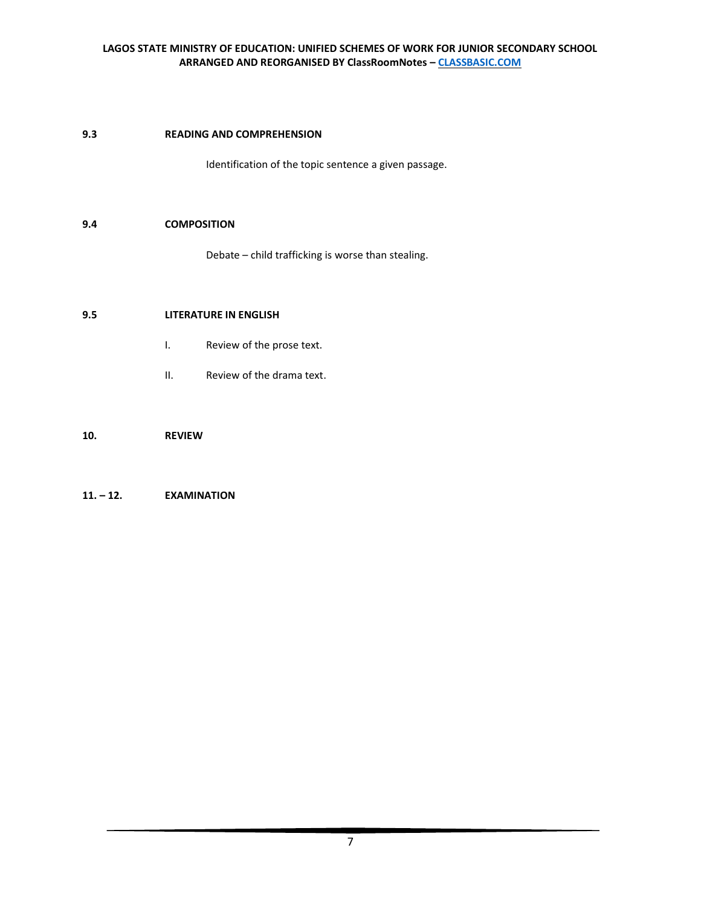## **9.3 READING AND COMPREHENSION**

Identification of the topic sentence a given passage.

## **9.4 COMPOSITION**

Debate – child trafficking is worse than stealing.

## **9.5 LITERATURE IN ENGLISH**

- I. Review of the prose text.
- II. Review of the drama text.

## **10. REVIEW**

## **11. – 12. EXAMINATION**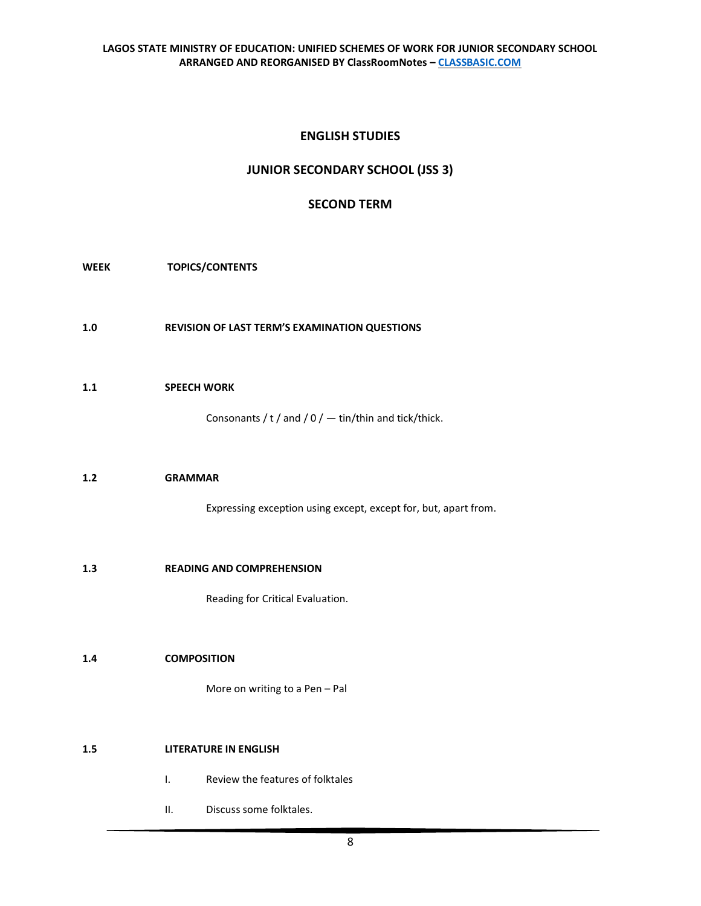# **ENGLISH STUDIES**

# **JUNIOR SECONDARY SCHOOL (JSS 3)**

# **SECOND TERM**

**WEEK TOPICS/CONTENTS**

**1.0 REVISION OF LAST TERM'S EXAMINATION QUESTIONS**

## **1.1 SPEECH WORK**

Consonants / t / and /  $0$  /  $-$  tin/thin and tick/thick.

## **1.2 GRAMMAR**

Expressing exception using except, except for, but, apart from.

#### **1.3 READING AND COMPREHENSION**

Reading for Critical Evaluation.

## **1.4 COMPOSITION**

More on writing to a Pen – Pal

## **1.5 LITERATURE IN ENGLISH**

- I. Review the features of folktales
- II. Discuss some folktales.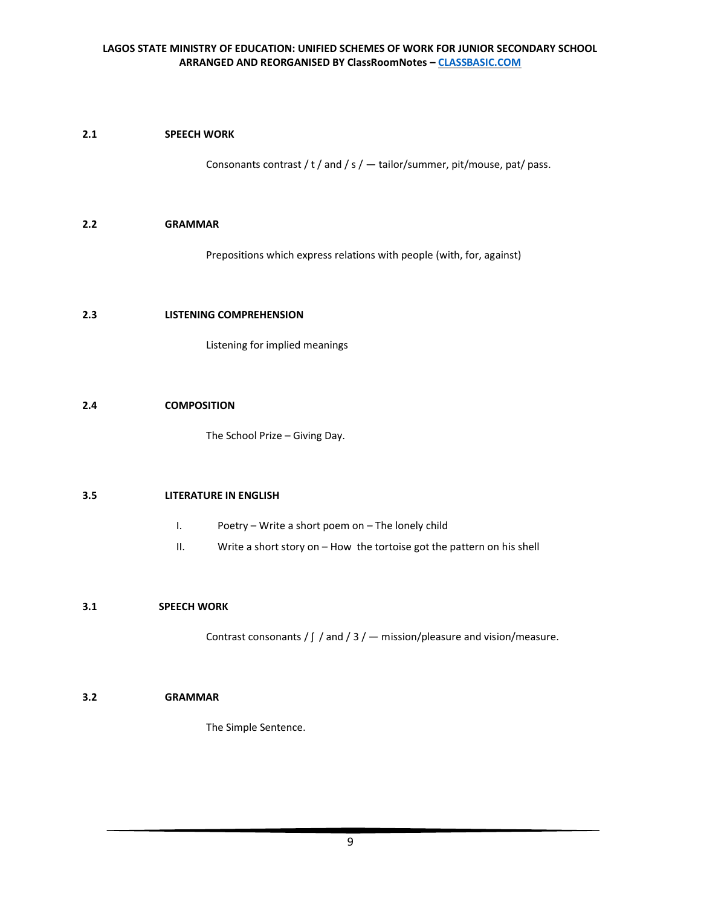## **2.1 SPEECH WORK**

Consonants contrast / t / and / s /  $-$  tailor/summer, pit/mouse, pat/ pass.

#### **2.2 GRAMMAR**

Prepositions which express relations with people (with, for, against)

#### **2.3 LISTENING COMPREHENSION**

Listening for implied meanings

#### **2.4 COMPOSITION**

The School Prize – Giving Day.

#### **3.5 LITERATURE IN ENGLISH**

- I. Poetry Write a short poem on The lonely child
- II. Write a short story on How the tortoise got the pattern on his shell

## **3.1 SPEECH WORK**

Contrast consonants /  $\int$  / and / 3 /  $-$  mission/pleasure and vision/measure.

## **3.2 GRAMMAR**

The Simple Sentence.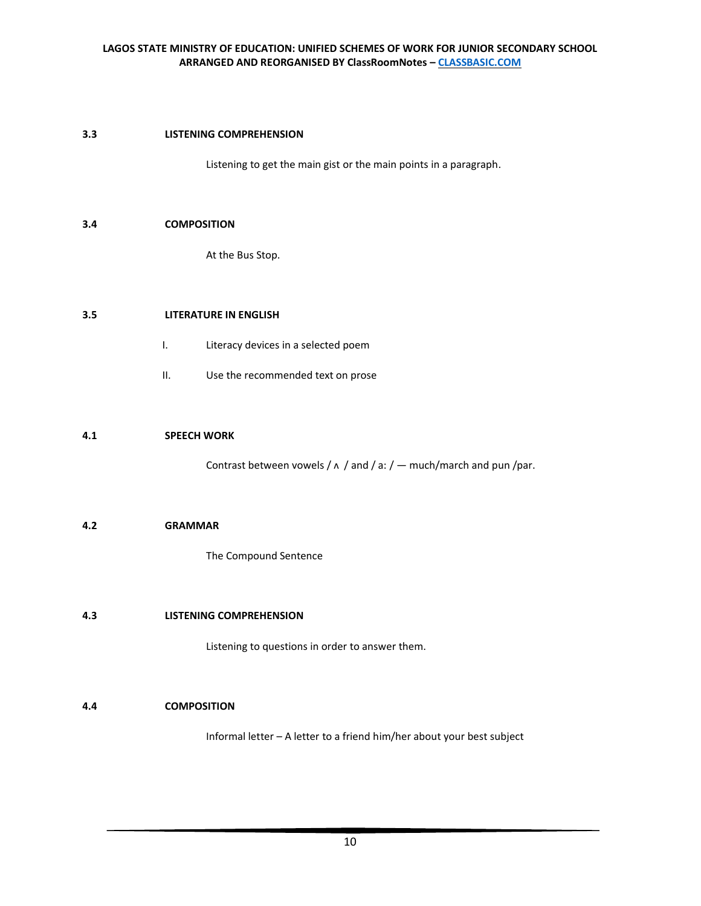## **3.3 LISTENING COMPREHENSION**

Listening to get the main gist or the main points in a paragraph.

#### **3.4 COMPOSITION**

At the Bus Stop.

## **3.5 LITERATURE IN ENGLISH**

- I. Literacy devices in a selected poem
- II. Use the recommended text on prose

#### **4.1 SPEECH WORK**

Contrast between vowels /  $\land$  / and / a: /  $-$  much/march and pun /par.

#### **4.2 GRAMMAR**

The Compound Sentence

#### **4.3 LISTENING COMPREHENSION**

Listening to questions in order to answer them.

## **4.4 COMPOSITION**

Informal letter – A letter to a friend him/her about your best subject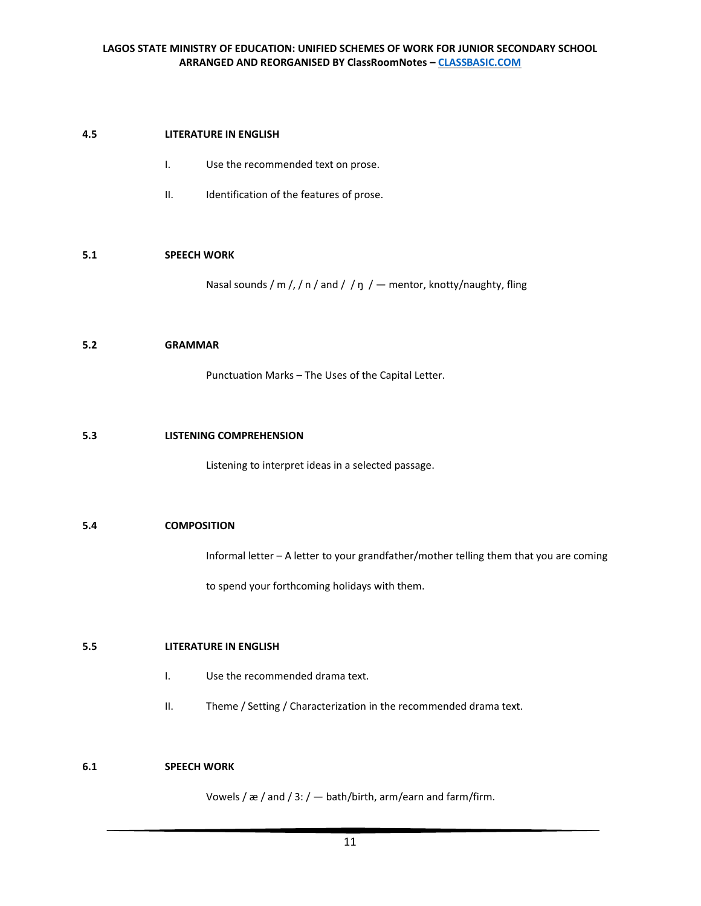## **4.5 LITERATURE IN ENGLISH**

- I. Use the recommended text on prose.
- II. Identification of the features of prose.

#### **5.1 SPEECH WORK**

Nasal sounds / m /, / n / and / / ŋ /  $-$  mentor, knotty/naughty, fling

#### **5.2 GRAMMAR**

Punctuation Marks – The Uses of the Capital Letter.

#### **5.3 LISTENING COMPREHENSION**

Listening to interpret ideas in a selected passage.

## **5.4 COMPOSITION**

Informal letter – A letter to your grandfather/mother telling them that you are coming

to spend your forthcoming holidays with them.

#### **5.5 LITERATURE IN ENGLISH**

- I. Use the recommended drama text.
- II. Theme / Setting / Characterization in the recommended drama text.

## **6.1 SPEECH WORK**

Vowels / æ / and / 3: / — bath/birth, arm/earn and farm/firm.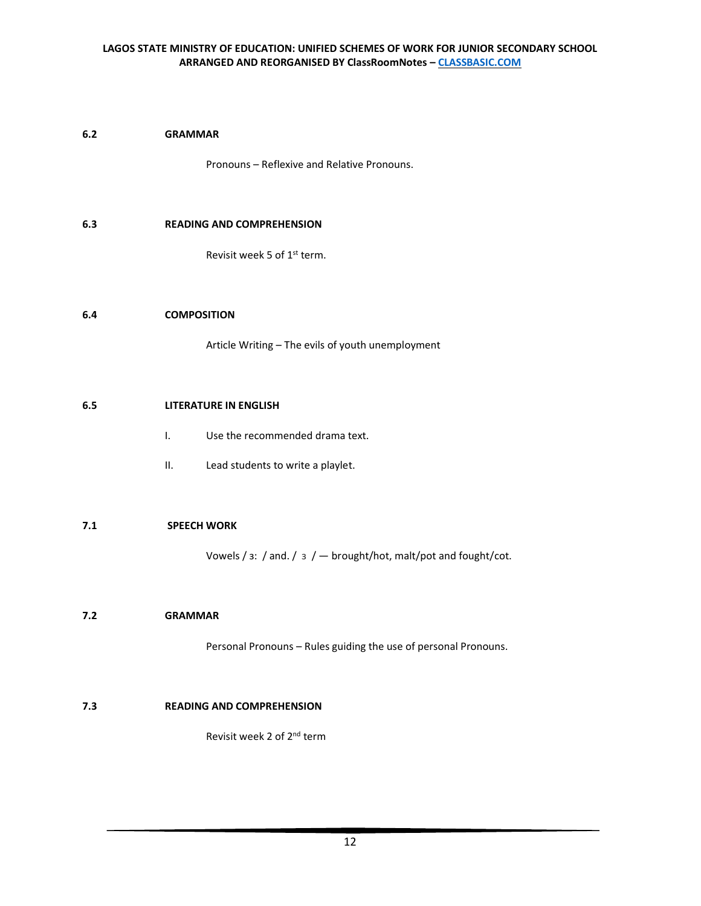#### **6.2 GRAMMAR**

Pronouns – Reflexive and Relative Pronouns.

#### **6.3 READING AND COMPREHENSION**

Revisit week 5 of 1st term.

#### **6.4 COMPOSITION**

Article Writing – The evils of youth unemployment

#### **6.5 LITERATURE IN ENGLISH**

- I. Use the recommended drama text.
- II. Lead students to write a playlet.

## **7.1 SPEECH WORK**

Vowels /  $3:$  / and. /  $3$  /  $-$  brought/hot, malt/pot and fought/cot.

#### **7.2 GRAMMAR**

Personal Pronouns – Rules guiding the use of personal Pronouns.

#### **7.3 READING AND COMPREHENSION**

Revisit week 2 of 2nd term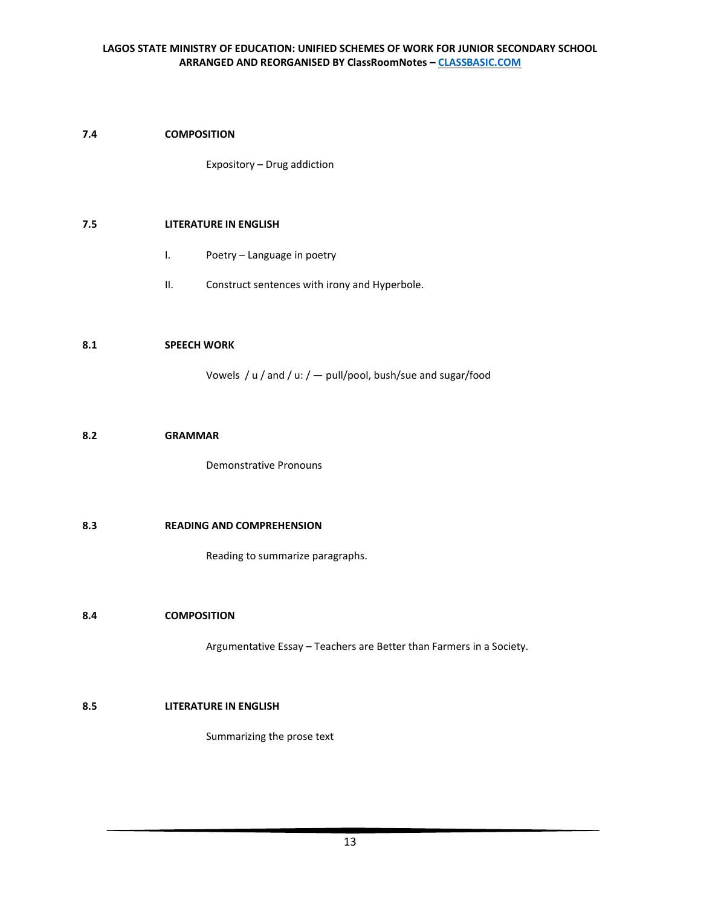## **7.4 COMPOSITION**

Expository – Drug addiction

#### **7.5 LITERATURE IN ENGLISH**

- I. Poetry Language in poetry
- II. Construct sentences with irony and Hyperbole.

#### **8.1 SPEECH WORK**

Vowels / u / and / u: / — pull/pool, bush/sue and sugar/food

#### **8.2 GRAMMAR**

Demonstrative Pronouns

## **8.3 READING AND COMPREHENSION**

Reading to summarize paragraphs.

## **8.4 COMPOSITION**

Argumentative Essay – Teachers are Better than Farmers in a Society.

# **8.5 LITERATURE IN ENGLISH**

Summarizing the prose text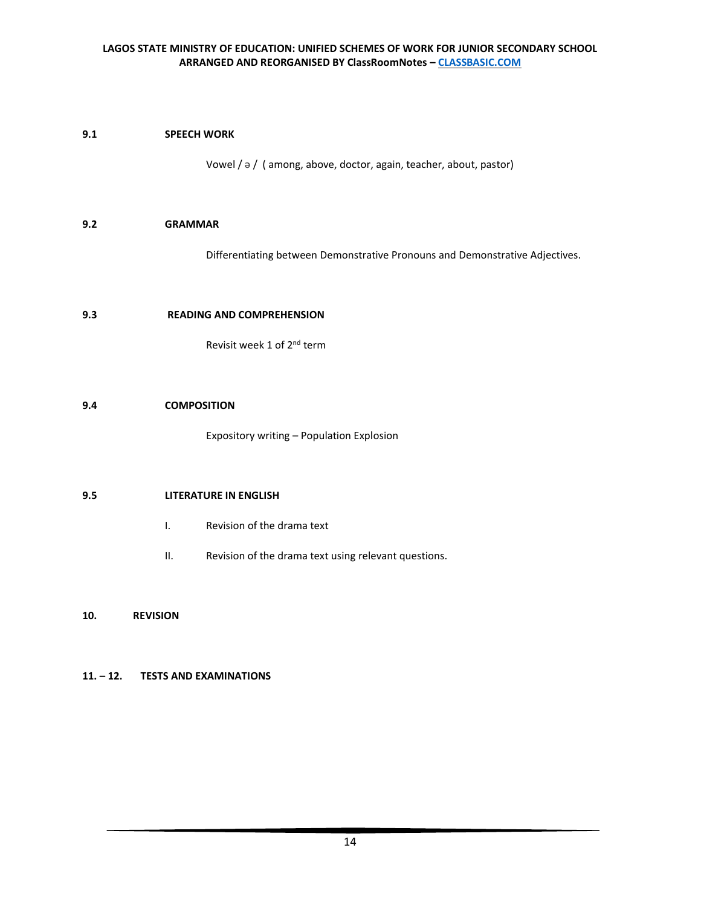# **9.1 SPEECH WORK**

Vowel / ə / ( among, above, doctor, again, teacher, about, pastor)

## **9.2 GRAMMAR**

Differentiating between Demonstrative Pronouns and Demonstrative Adjectives.

## **9.3 READING AND COMPREHENSION**

Revisit week 1 of 2nd term

#### **9.4 COMPOSITION**

Expository writing – Population Explosion

#### **9.5 LITERATURE IN ENGLISH**

- I. Revision of the drama text
- II. Revision of the drama text using relevant questions.

#### **10. REVISION**

## **11. – 12. TESTS AND EXAMINATIONS**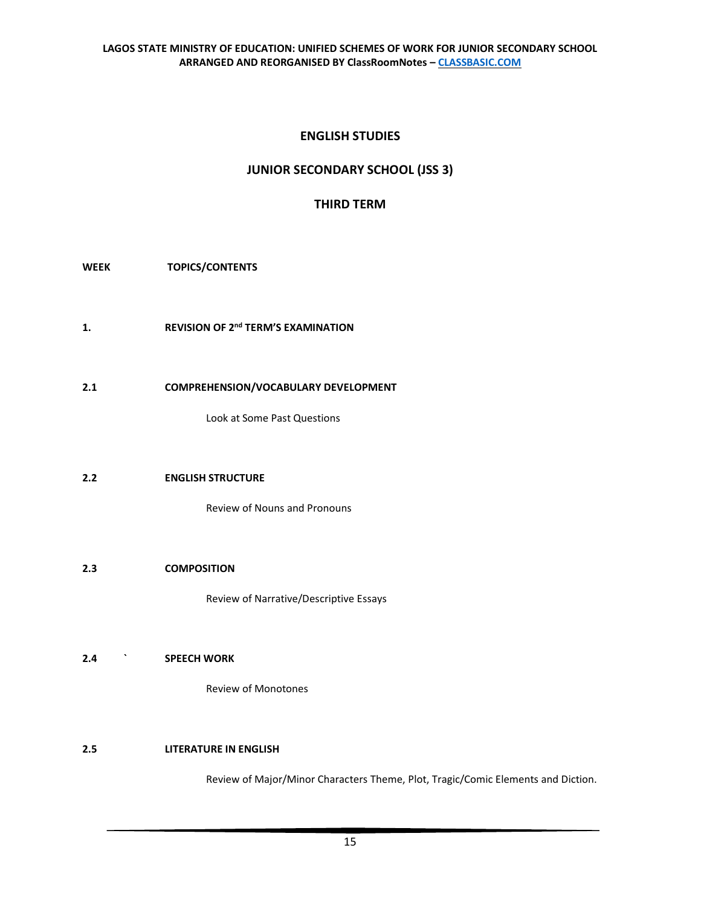# **ENGLISH STUDIES**

# **JUNIOR SECONDARY SCHOOL (JSS 3)**

# **THIRD TERM**

**WEEK TOPICS/CONTENTS**

- **1. REVISION OF 2nd TERM'S EXAMINATION**
- **2.1 COMPREHENSION/VOCABULARY DEVELOPMENT**

Look at Some Past Questions

# **2.2 ENGLISH STRUCTURE**

Review of Nouns and Pronouns

## **2.3 COMPOSITION**

Review of Narrative/Descriptive Essays

# **2.4 ` SPEECH WORK**

Review of Monotones

# **2.5 LITERATURE IN ENGLISH**

Review of Major/Minor Characters Theme, Plot, Tragic/Comic Elements and Diction.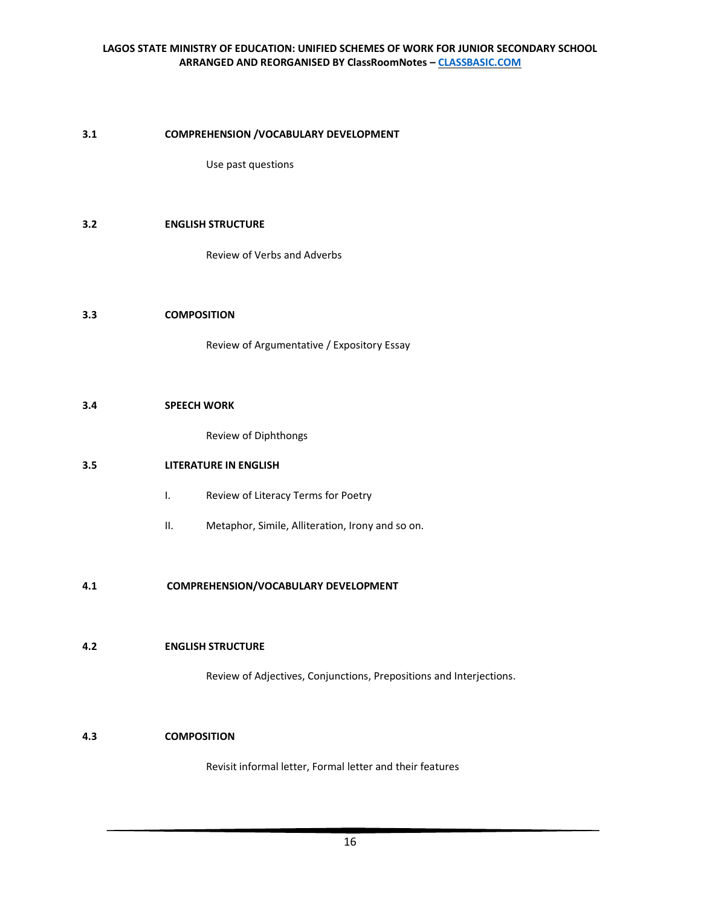#### **3.1 COMPREHENSION /VOCABULARY DEVELOPMENT**

Use past questions

## **3.2 ENGLISH STRUCTURE**

Review of Verbs and Adverbs

## **3.3 COMPOSITION**

Review of Argumentative / Expository Essay

#### **3.4 SPEECH WORK**

Review of Diphthongs

## **3.5 LITERATURE IN ENGLISH**

- I. Review of Literacy Terms for Poetry
- II. Metaphor, Simile, Alliteration, Irony and so on.

## **4.1 COMPREHENSION/VOCABULARY DEVELOPMENT**

## **4.2 ENGLISH STRUCTURE**

Review of Adjectives, Conjunctions, Prepositions and Interjections.

## **4.3 COMPOSITION**

Revisit informal letter, Formal letter and their features